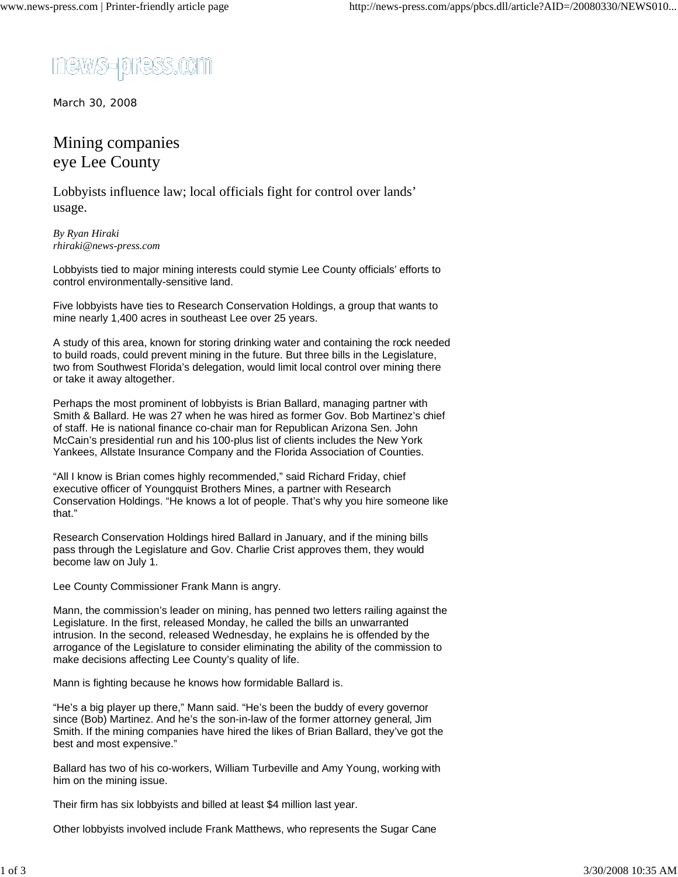news-press.com

March 30, 2008

## Mining companies eye Lee County

Lobbyists influence law; local officials fight for control over lands' usage.

*By Ryan Hiraki rhiraki@news-press.com*

Lobbyists tied to major mining interests could stymie Lee County officials' efforts to control environmentally-sensitive land.

Five lobbyists have ties to Research Conservation Holdings, a group that wants to mine nearly 1,400 acres in southeast Lee over 25 years.

A study of this area, known for storing drinking water and containing the rock needed to build roads, could prevent mining in the future. But three bills in the Legislature, two from Southwest Florida's delegation, would limit local control over mining there or take it away altogether.

Perhaps the most prominent of lobbyists is Brian Ballard, managing partner with Smith & Ballard. He was 27 when he was hired as former Gov. Bob Martinez's chief of staff. He is national finance co-chair man for Republican Arizona Sen. John McCain's presidential run and his 100-plus list of clients includes the New York Yankees, Allstate Insurance Company and the Florida Association of Counties.

"All I know is Brian comes highly recommended," said Richard Friday, chief executive officer of Youngquist Brothers Mines, a partner with Research Conservation Holdings. "He knows a lot of people. That's why you hire someone like that."

Research Conservation Holdings hired Ballard in January, and if the mining bills pass through the Legislature and Gov. Charlie Crist approves them, they would become law on July 1.

Lee County Commissioner Frank Mann is angry.

Mann, the commission's leader on mining, has penned two letters railing against the Legislature. In the first, released Monday, he called the bills an unwarranted intrusion. In the second, released Wednesday, he explains he is offended by the arrogance of the Legislature to consider eliminating the ability of the commission to make decisions affecting Lee County's quality of life.

Mann is fighting because he knows how formidable Ballard is.

"He's a big player up there," Mann said. "He's been the buddy of every governor since (Bob) Martinez. And he's the son-in-law of the former attorney general, Jim Smith. If the mining companies have hired the likes of Brian Ballard, they've got the best and most expensive."

Ballard has two of his co-workers, William Turbeville and Amy Young, working with him on the mining issue.

Their firm has six lobbyists and billed at least \$4 million last year.

Other lobbyists involved include Frank Matthews, who represents the Sugar Cane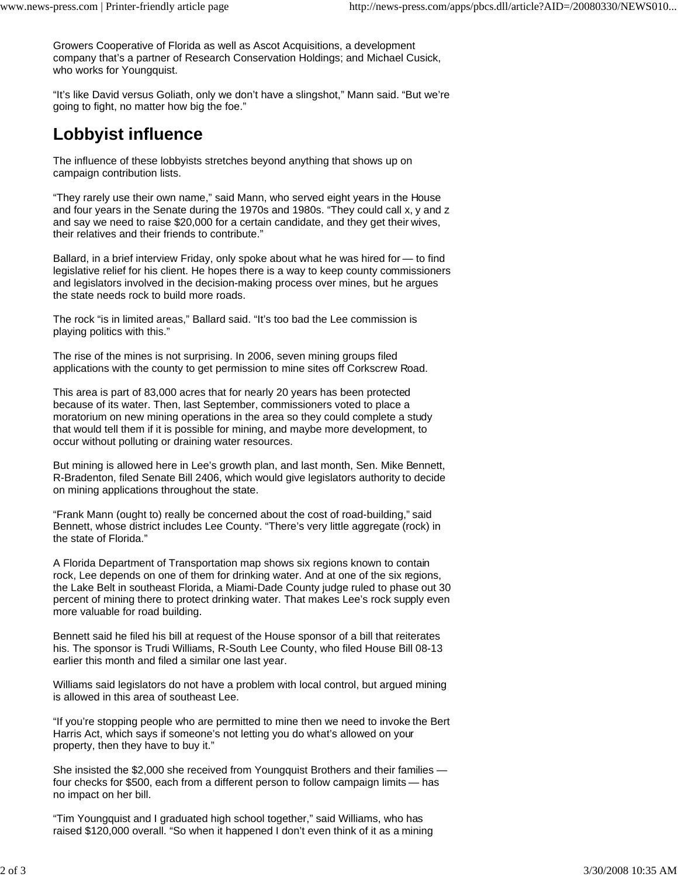Growers Cooperative of Florida as well as Ascot Acquisitions, a development company that's a partner of Research Conservation Holdings; and Michael Cusick, who works for Youngquist.

"It's like David versus Goliath, only we don't have a slingshot," Mann said. "But we're going to fight, no matter how big the foe."

## **Lobbyist influence**

The influence of these lobbyists stretches beyond anything that shows up on campaign contribution lists.

"They rarely use their own name," said Mann, who served eight years in the House and four years in the Senate during the 1970s and 1980s. "They could call x, y and z and say we need to raise \$20,000 for a certain candidate, and they get their wives, their relatives and their friends to contribute."

Ballard, in a brief interview Friday, only spoke about what he was hired for — to find legislative relief for his client. He hopes there is a way to keep county commissioners and legislators involved in the decision-making process over mines, but he argues the state needs rock to build more roads.

The rock "is in limited areas," Ballard said. "It's too bad the Lee commission is playing politics with this."

The rise of the mines is not surprising. In 2006, seven mining groups filed applications with the county to get permission to mine sites off Corkscrew Road.

This area is part of 83,000 acres that for nearly 20 years has been protected because of its water. Then, last September, commissioners voted to place a moratorium on new mining operations in the area so they could complete a study that would tell them if it is possible for mining, and maybe more development, to occur without polluting or draining water resources.

But mining is allowed here in Lee's growth plan, and last month, Sen. Mike Bennett, R-Bradenton, filed Senate Bill 2406, which would give legislators authority to decide on mining applications throughout the state.

"Frank Mann (ought to) really be concerned about the cost of road-building," said Bennett, whose district includes Lee County. "There's very little aggregate (rock) in the state of Florida."

A Florida Department of Transportation map shows six regions known to contain rock, Lee depends on one of them for drinking water. And at one of the six regions, the Lake Belt in southeast Florida, a Miami-Dade County judge ruled to phase out 30 percent of mining there to protect drinking water. That makes Lee's rock supply even more valuable for road building.

Bennett said he filed his bill at request of the House sponsor of a bill that reiterates his. The sponsor is Trudi Williams, R-South Lee County, who filed House Bill 08-13 earlier this month and filed a similar one last year.

Williams said legislators do not have a problem with local control, but argued mining is allowed in this area of southeast Lee.

"If you're stopping people who are permitted to mine then we need to invoke the Bert Harris Act, which says if someone's not letting you do what's allowed on your property, then they have to buy it."

She insisted the \$2,000 she received from Youngquist Brothers and their families four checks for \$500, each from a different person to follow campaign limits — has no impact on her bill.

"Tim Youngquist and I graduated high school together," said Williams, who has raised \$120,000 overall. "So when it happened I don't even think of it as a mining